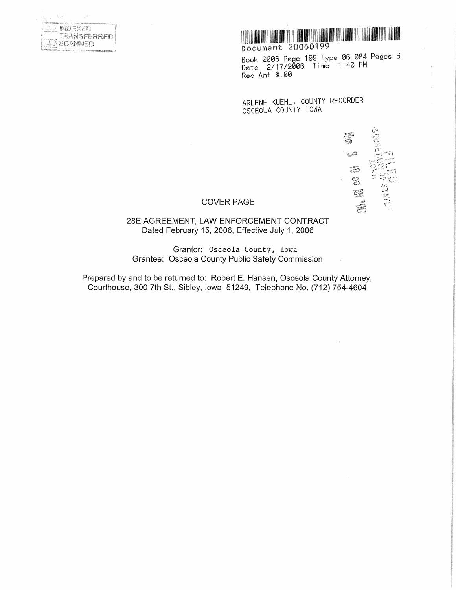|              |                         |                                                |                 | c.     |                            |  |
|--------------|-------------------------|------------------------------------------------|-----------------|--------|----------------------------|--|
| ٠            |                         | ×.                                             | c               |        |                            |  |
| $-200 - 200$ |                         | <b><i><u>Accessory</u></i></b><br><b>Total</b> | <b>ALCOHOL:</b> |        | and Additional and primary |  |
|              |                         |                                                | 63              |        |                            |  |
|              |                         |                                                |                 |        | RANSFERRE                  |  |
|              |                         | <b>State</b>                                   |                 | CANNEL |                            |  |
|              | A was compared by a mi- | 7.12                                           |                 |        |                            |  |



Book 2006 Page 199 Type 06 004 Pages 6 Date 2/17/2006 Time 1:40PM Rec Amt \$.00

ARLENE KUEHL, COUNTY RECORDER OSCEOLA COUNTY IOWA

 $\mathbb{C}$ **HELE** 

## COVER PAGE

28E AGREEMENT, LAW ENFORCEMENT CONTRACT Dated February 15, 2006, Effective July 1, 2006

Grantor: Osceola County, Iowa Grantee: Osceola County Public Safety Commission

Prepared by and to be returned to: Robert E. Hansen, Osceola County Attorney, Courthouse, 300 7th St., Sibley, Iowa 51249, Telephone No. (712) 754-4604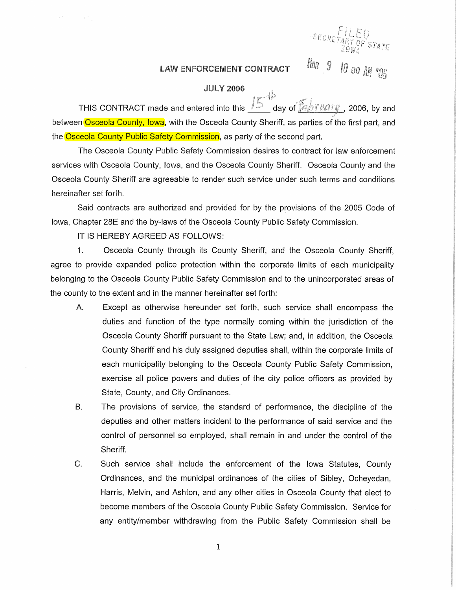## LAW ENFORCEMENT CONTRACT  $\frac{m}{2}$   $\frac{g}{c}$   $\frac{g}{c}$   $\frac{g}{c}$   $\frac{g}{c}$

*T* 

## JUlY 2006

~ THIS CONTRACT made and entered into this\_;;\_· \_day of ~~---=.....;\_\_,.,;i..-' 2006, by and between Osceola County, Iowa, with the Osceola County Sheriff, as parties of the first part, and the Osceola County Public Safety Commission, as party of the second part.

The Osceola County Public Safety Commission desires to contract for law enforcement services with Osceola County, Iowa, and the Osceola County Sheriff. Osceola County and the Osceola County Sheriff are agreeable to render such service under such terms and conditions hereinafter set forth.

Said contracts are authorized and provided for by the provisions of the 2005 Code of Iowa, Chapter 28E and the by-laws of the Osceola County Public Safety Commission.

IT IS HEREBY AGREED AS FOLLOWS:

 $\frac{1}{2} \sqrt{2} \frac{1}{2}$ 

 $\sim$   $\approx$ 

1. Osceola County through its County Sheriff, and the Osceola County Sheriff, agree to provide expanded police protection within the corporate limits of each municipality belonging to the Osceola County Public Safety Commission and to the unincorporated areas of the county to the extent and in the manner hereinafter set forth:

- A. Except as otherwise hereunder set forth, such service shall encompass the duties and function of the type normally coming within the jurisdiction of the Osceola County Sheriff pursuant to the State Law; and, in addition, the Osceola County Sheriff and his duly assigned deputies shall, within the corporate limits of each municipality belonging to the Osceola County Public Safety Commission, exercise all police powers and duties of the city police officers as provided by State, County, and City Ordinances.
- B. The provisions of service, the standard of performance, the discipline of the deputies and other matters incident to the performance of said service and the control of personnel so employed, shall remain in and under the control of the Sheriff.
- C. Such service shall include the enforcement of the Iowa Statutes, County Ordinances, and the municipal ordinances of the cities of Sibley, Ocheyedan, Harris, Melvin, and Ashton, and any other cities in Osceola County that elect to become members of the Osceola County Public Safety Commission. Service for any entity/member withdrawing from the Public Safety Commission shall be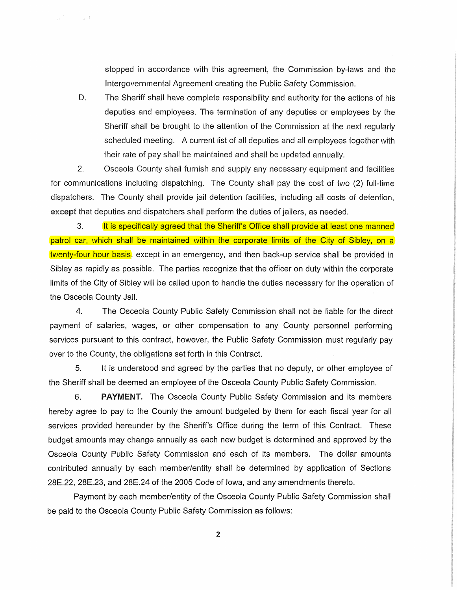stopped in accordance with this agreement, the Commission by-laws and the Intergovernmental Agreement creating the Public Safety Commission.

D. The Sheriff shall have complete responsibility and authority for the actions of his deputies and employees. The termination of any deputies or employees by the Sheriff shall be brought to the attention of the Commission at the next regularly scheduled meeting. A current list of all deputies and all employees together with their rate of pay shall be maintained and shall be updated annually.

2. Osceola County shall furnish and supply any necessary equipment and facilities for communications including dispatching. The County shall pay the cost of two (2) full-time dispatchers. The County shall provide jail detention facilities, including all costs of detention, except that deputies and dispatchers shall perform the duties of jailers, as needed.

 $\sim$   $^{-1}$ 

an Co

3. It is specifically agreed that the Sheriff's Office shall provide at least one manned patrol car, which shall be maintained within the corporate limits of the City of Sibley, on a twenty-four hour basis, except in an emergency, and then back-up service shall be provided in Sibley as rapidly as possible. The parties recognize that the officer on duty within the corporate limits of the City of Sibley will be called upon to handle the duties necessary for the operation of the Osceola County Jail.

4. The Osceola County Public Safety Commission shall not be liable for the direct payment of salaries, wages, or other compensation to any County personnel performing services pursuant to this contract, however, the Public Safety Commission must regularly pay over to the County, the obligations set forth in this Contract.

5. It is understood and agreed by the parties that no deputy, or other employee of the Sheriff shall be deemed an employee of the Osceola County Public Safety Commission.

6. PAYMENT. The Osceola County Public Safety Commission and its members hereby agree to pay to the County the amount budgeted by them for each fiscal year for all services provided hereunder by the Sheriff's Office during the term of this Contract. These budget amounts may change annually as each new budget is determined and approved by the Osceola County Public Safety Commission and each of its members. The dollar amounts contributed annually by each member/entity shall be determined by application of Sections 28E.22, 28E.23, and 28E.24 of the 2005 Code of Iowa, and any amendments thereto.

Payment by each member/entity of the Osceola County Public Safety Commission shall be paid to the Osceola County Public Safety Commission as follows: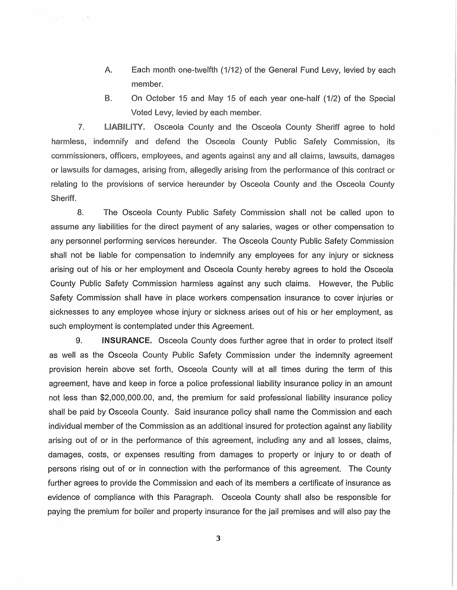- A. Each month one-twelfth (1/12) of the General Fund Levy, levied by each member.
- B. On October 15 and May 15 of each year one-half (1/2) of the Special Voted Levy, levied by each member.

7. LIABILITY. Osceola County and the Osceola County Sheriff agree to hold harmless, indemnify and defend the Osceola County Public Safety Commission, its commissioners, officers, employees, and agents against any and all claims, lawsuits, damages or lawsuits for damages, arising from, allegedly arising from the performance of this contract or relating to the provisions of service hereunder by Osceola County and the Osceola County Sheriff.

 $\mathcal{F}_{\text{max}}^{\text{max}}$ 

 $\sim 10^{-4}$ 

8. The Osceola County Public Safety Commission shall not be called upon to assume any liabilities for the direct payment of any salaries, wages or other compensation to any personnel performing services hereunder. The Osceola County Public Safety Commission shall not be liable for compensation to indemnify any employees for any injury or sickness arising out of his or her employment and Osceola County hereby agrees to hold the Osceola County Public Safety Commission harmless against any such claims. However, the Public Safety Commission shall have in place workers compensation insurance to cover injuries or sicknesses to any employee whose injury or sickness arises out of his or her employment, as such employment is contemplated under this Agreement.

9. INSURANCE. Osceola County does further agree that in order to protect itself as well as the Osceola County Public Safety Commission under the indemnity agreement provision herein above set forth, Osceola County will at all times during the term of this agreement, have and keep in force a police professional liability insurance policy in an amount not less than \$2,000,000.00, and, the premium for said professional liability insurance policy shall be paid by Osceola County. Said insurance policy shall name the Commission and each individual member of the Commission as an additional insured for protection against any liability arising out of or in the performance of this agreement, including any and all losses, claims, damages, costs, or expenses resulting from damages to property or injury to or death of persons rising out of or in connection with the performance of this agreement. The County further agrees to provide the Commission and each of its members a certificate of insurance as evidence of compliance with this Paragraph. Osceola County shall also be responsible for paying the premium for boiler and property insurance for the jail premises and will also pay the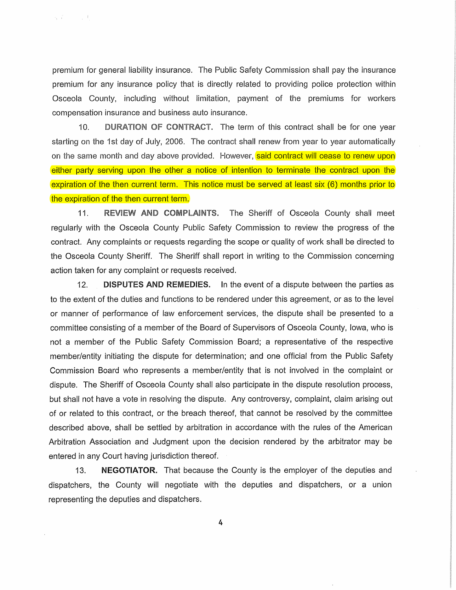premium for general liability insurance. The Public Safety Commission shall pay the insurance premium for any insurance policy that is directly related to providing police protection within Osceola County, including without limitation, payment of the premiums for workers compensation insurance and business auto insurance.

经常 人名拉

10. DURATION OF CONTRACT. The term of this contract shall be for one year starting on the 1st day of July, 2006. The contract shall renew from year to year automatically on the same month and day above provided. However, said contract will cease to renew upon either party serving upon the other a notice of intention to terminate the contract upon the expiration of the then current term. This notice must be served at least six (6) months prior to the expiration of the then current term.

11. REVIEW AND COMPLAINTS. The Sheriff of Osceola County shall meet regularly with the Osceola County Public Safety Commission to review the progress of the contract. Any complaints or requests regarding the scope or quality of work shall be directed to the Osceola County Sheriff. The Sheriff shall report in writing to the Commission concerning action taken for any complaint or requests received.

12. **DISPUTES AND REMEDIES.** In the event of a dispute between the parties as to the extent of the duties and functions to be rendered under this agreement, or as to the level or manner of performance of law enforcement services, the dispute shall be presented to a committee consisting of a member of the Board of Supervisors of Osceola County, Iowa, who is not a member of the Public Safety Commission Board; a representative of the respective member/entity initiating the dispute for determination; and one official from the Public Safety Commission Board who represents a member/entity that is not involved in the complaint or dispute. The Sheriff of Osceola County shall also participate in the dispute resolution process, but shall not have a vote in resolving the dispute. Any controversy, complaint, claim arising out of or related to this contract, or the breach thereof, that cannot be resolved by the committee described above, shall be settled by arbitration in accordance with the rules of the American Arbitration Association and Judgment upon the decision rendered by the arbitrator may be entered in any Court having jurisdiction thereof.

13. NEGOTIATOR. That because the County is the employer of the deputies and dispatchers, the County will negotiate with the deputies and dispatchers, or a union representing the deputies and dispatchers.

4